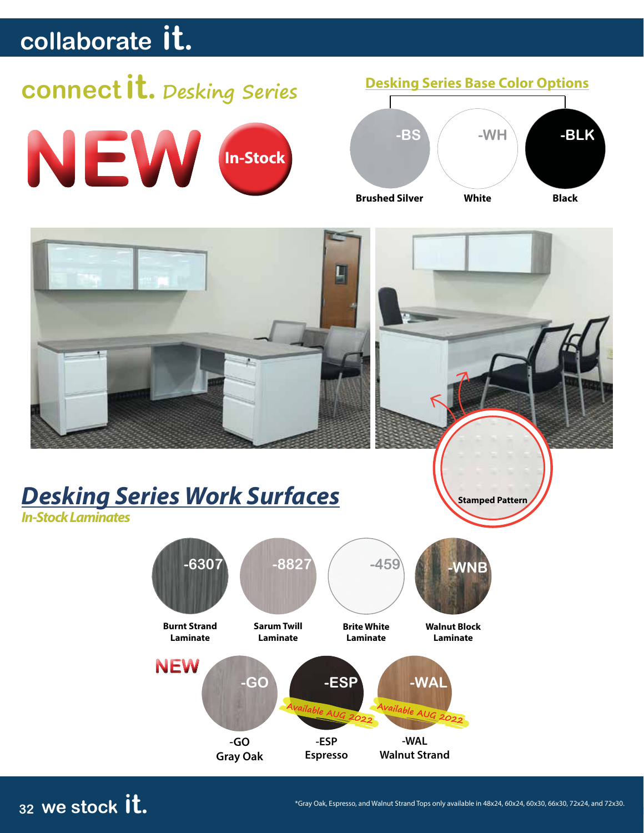## **connect it. Desking Series**







**-GO Gray Oak -ESP Espresso -WAL Walnut Strand**

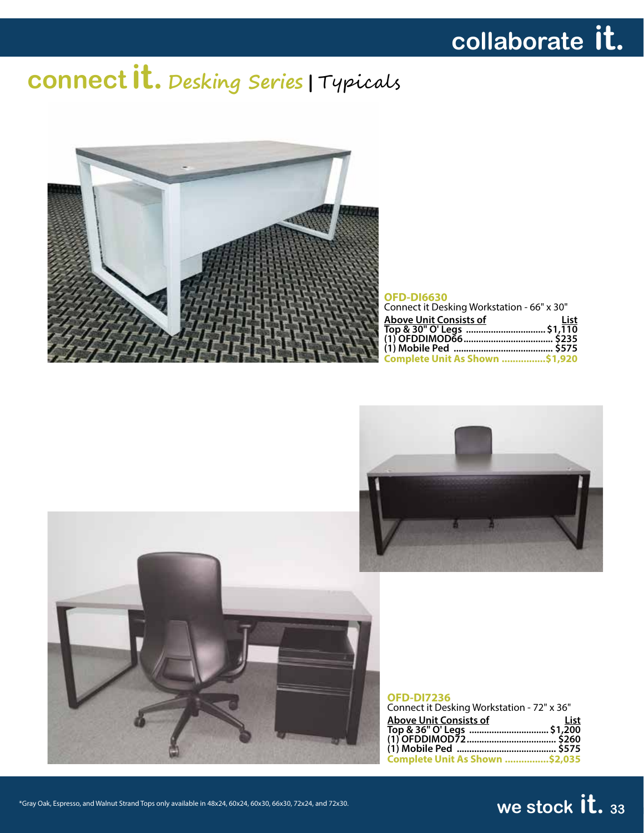# **connect it. Desking Series |** Typicals



#### **OFD-DI6630**

| Connect it Desking Workstation - 66" x 30" |      |
|--------------------------------------------|------|
| <b>Above Unit Consists of</b>              | List |
|                                            |      |
|                                            |      |
|                                            |      |
| <b>Complete Unit As Shown  \$1,920</b>     |      |





### **OFD-DI7236**

| Connect it Desking Workstation - 72" x 36" |      |
|--------------------------------------------|------|
| Above Unit Consists of                     | List |
|                                            |      |
|                                            |      |
|                                            |      |
| Complete Unit As Shown \$2,035             |      |

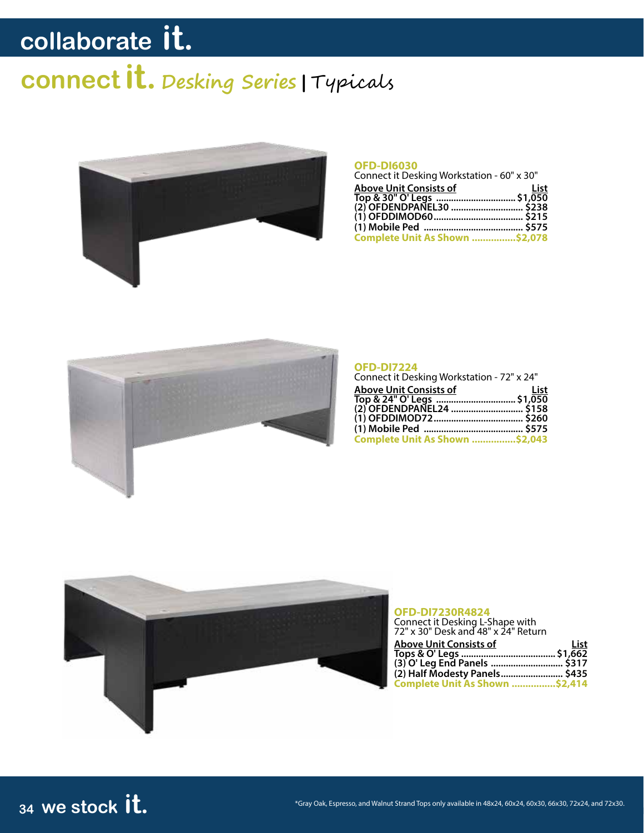# **connect it. Desking Series |** Typicals



#### **OFD-DI6030**

| Connect it Desking Workstation - 60" x 30"             |      |
|--------------------------------------------------------|------|
| <b>Above Unit Consists of</b>                          | List |
| Top & 30" O' Legs  \$1,050<br>(2) OFDENDPANEL30  \$238 |      |
|                                                        |      |
|                                                        |      |
|                                                        |      |
| <b>Complete Unit As Shown  \$2,078</b>                 |      |
|                                                        |      |



#### **OFD-DI7224**

| Connect it Desking Workstation - 72" x 24" |
|--------------------------------------------|
| List                                       |
|                                            |
| (2) OFDENDPANEL24  \$158                   |
|                                            |
|                                            |
| Complete Unit As Shown \$2,043             |
|                                            |



#### **OFD-DI7230R4824**

| Connect it Desking L-Shape with<br>72" x 30" Desk and 48" x 24" Return |      |
|------------------------------------------------------------------------|------|
|                                                                        |      |
| <b>Above Unit Consists of</b>                                          | List |
|                                                                        |      |
|                                                                        |      |
| (2) Half Modesty Panels \$435                                          |      |
| Complete Unit As Shown \$2,414                                         |      |